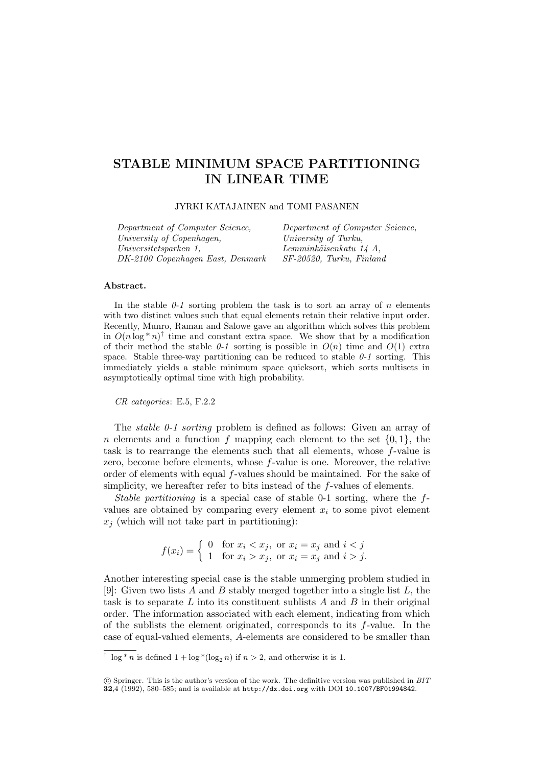# STABLE MINIMUM SPACE PARTITIONING IN LINEAR TIME

JYRKI KATAJAINEN and TOMI PASANEN

| Department of Computer Science,  | Department of Computer Science, |
|----------------------------------|---------------------------------|
| University of Copenhagen,        | University of Turku,            |
| Universitetsparken 1.            | Lemminkäisenkatu 14 A,          |
| DK-2100 Copenhagen East, Denmark | $SF-20520$ , Turku, Finland     |

### Abstract.

In the stable  $\theta$ -1 sorting problem the task is to sort an array of n elements with two distinct values such that equal elements retain their relative input order. Recently, Munro, Raman and Salowe gave an algorithm which solves this problem in  $O(n \log^* n)^\dagger$  time and constant extra space. We show that by a modification of their method the stable 0-1 sorting is possible in  $O(n)$  time and  $O(1)$  extra space. Stable three-way partitioning can be reduced to stable  $0-1$  sorting. This immediately yields a stable minimum space quicksort, which sorts multisets in asymptotically optimal time with high probability.

CR categories: E.5, F.2.2

The stable 0-1 sorting problem is defined as follows: Given an array of n elements and a function f mapping each element to the set  $\{0, 1\}$ , the task is to rearrange the elements such that all elements, whose f-value is zero, become before elements, whose f-value is one. Moreover, the relative order of elements with equal f-values should be maintained. For the sake of simplicity, we hereafter refer to bits instead of the f-values of elements.

Stable partitioning is a special case of stable 0-1 sorting, where the fvalues are obtained by comparing every element  $x_i$  to some pivot element  $x_i$  (which will not take part in partitioning):

$$
f(x_i) = \begin{cases} 0 & \text{for } x_i < x_j, \text{ or } x_i = x_j \text{ and } i < j \\ 1 & \text{for } x_i > x_j, \text{ or } x_i = x_j \text{ and } i > j. \end{cases}
$$

Another interesting special case is the stable unmerging problem studied in [9]: Given two lists A and B stably merged together into a single list  $L$ , the task is to separate  $L$  into its constituent sublists  $A$  and  $B$  in their original order. The information associated with each element, indicating from which of the sublists the element originated, corresponds to its  $f$ -value. In the case of equal-valued elements, A-elements are considered to be smaller than

<sup>&</sup>lt;sup>†</sup>  $\log^* n$  is defined  $1 + \log^* (\log_2 n)$  if  $n > 2$ , and otherwise it is 1.

c Springer. This is the author's version of the work. The definitive version was published in BIT 32,4 (1992), 580–585; and is available at http://dx.doi.org with DOI 10.1007/BF01994842.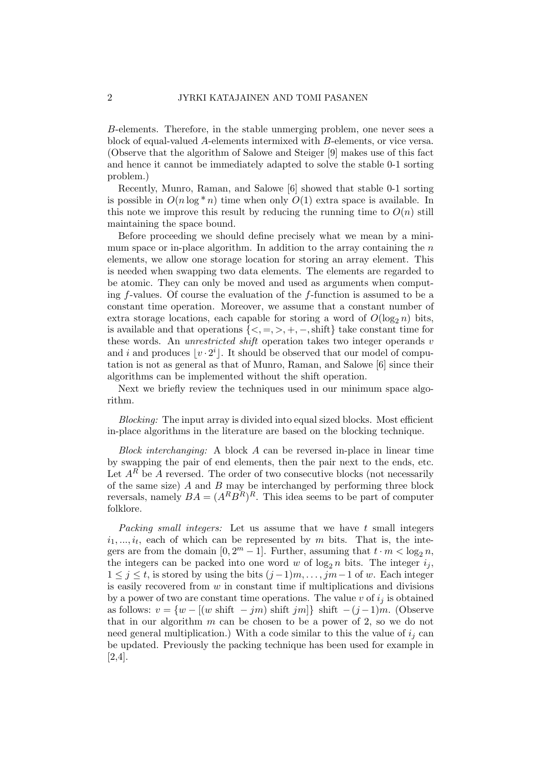B-elements. Therefore, in the stable unmerging problem, one never sees a block of equal-valued A-elements intermixed with B-elements, or vice versa. (Observe that the algorithm of Salowe and Steiger [9] makes use of this fact and hence it cannot be immediately adapted to solve the stable 0-1 sorting problem.)

Recently, Munro, Raman, and Salowe [6] showed that stable 0-1 sorting is possible in  $O(n \log^* n)$  time when only  $O(1)$  extra space is available. In this note we improve this result by reducing the running time to  $O(n)$  still maintaining the space bound.

Before proceeding we should define precisely what we mean by a minimum space or in-place algorithm. In addition to the array containing the  $n$ elements, we allow one storage location for storing an array element. This is needed when swapping two data elements. The elements are regarded to be atomic. They can only be moved and used as arguments when computing f-values. Of course the evaluation of the f-function is assumed to be a constant time operation. Moreover, we assume that a constant number of extra storage locations, each capable for storing a word of  $O(\log_2 n)$  bits, is available and that operations  ${<, =, >, +, -, \text{shift}}$  take constant time for these words. An *unrestricted shift* operation takes two integer operands v and i and produces  $|v \cdot 2^i|$ . It should be observed that our model of computation is not as general as that of Munro, Raman, and Salowe [6] since their algorithms can be implemented without the shift operation.

Next we briefly review the techniques used in our minimum space algorithm.

Blocking: The input array is divided into equal sized blocks. Most efficient in-place algorithms in the literature are based on the blocking technique.

Block interchanging: A block A can be reversed in-place in linear time by swapping the pair of end elements, then the pair next to the ends, etc. Let  $A^R$  be A reversed. The order of two consecutive blocks (not necessarily of the same size)  $\tilde{A}$  and  $\tilde{B}$  may be interchanged by performing three block reversals, namely  $BA = (A^R B^R)^R$ . This idea seems to be part of computer folklore.

Packing small integers: Let us assume that we have t small integers  $i_1, \ldots, i_t$ , each of which can be represented by m bits. That is, the integers are from the domain  $[0, 2<sup>m</sup> - 1]$ . Further, assuming that  $t \cdot m < \log_2 n$ , the integers can be packed into one word w of  $\log_2 n$  bits. The integer  $i_j$ ,  $1 \leq j \leq t$ , is stored by using the bits  $(j-1)m, \ldots, jm-1$  of w. Each integer is easily recovered from  $w$  in constant time if multiplications and divisions by a power of two are constant time operations. The value v of  $i_j$  is obtained as follows:  $v = \{w - [(w \text{ shift } - jm) \text{ shift } jm]\}\$ shift  $-(j-1)m$ . (Observe that in our algorithm  $m$  can be chosen to be a power of 2, so we do not need general multiplication.) With a code similar to this the value of  $i_j$  can be updated. Previously the packing technique has been used for example in [2,4].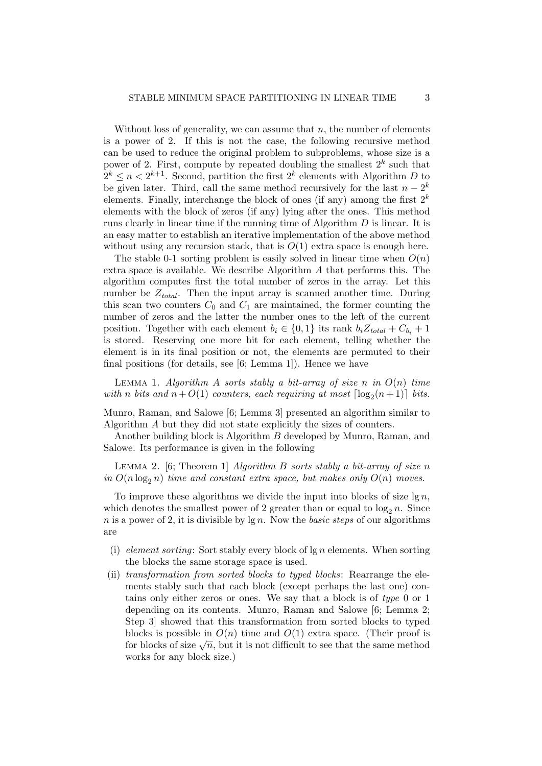Without loss of generality, we can assume that  $n$ , the number of elements is a power of 2. If this is not the case, the following recursive method can be used to reduce the original problem to subproblems, whose size is a power of 2. First, compute by repeated doubling the smallest  $2^k$  such that  $2^k \leq n < 2^{k+1}$ . Second, partition the first  $2^k$  elements with Algorithm D to be given later. Third, call the same method recursively for the last  $n - 2<sup>k</sup>$ elements. Finally, interchange the block of ones (if any) among the first  $2^k$ elements with the block of zeros (if any) lying after the ones. This method runs clearly in linear time if the running time of Algorithm D is linear. It is an easy matter to establish an iterative implementation of the above method without using any recursion stack, that is  $O(1)$  extra space is enough here.

The stable 0-1 sorting problem is easily solved in linear time when  $O(n)$ extra space is available. We describe Algorithm A that performs this. The algorithm computes first the total number of zeros in the array. Let this number be  $Z_{total}$ . Then the input array is scanned another time. During this scan two counters  $C_0$  and  $C_1$  are maintained, the former counting the number of zeros and the latter the number ones to the left of the current position. Together with each element  $b_i \in \{0, 1\}$  its rank  $b_i Z_{total} + C_{b_i} + 1$ is stored. Reserving one more bit for each element, telling whether the element is in its final position or not, the elements are permuted to their final positions (for details, see [6; Lemma 1]). Hence we have

LEMMA 1. Algorithm A sorts stably a bit-array of size n in  $O(n)$  time with n bits and  $n + O(1)$  counters, each requiring at most  $\lceil \log_2(n+1) \rceil$  bits.

Munro, Raman, and Salowe [6; Lemma 3] presented an algorithm similar to Algorithm A but they did not state explicitly the sizes of counters.

Another building block is Algorithm B developed by Munro, Raman, and Salowe. Its performance is given in the following

LEMMA 2. [6; Theorem 1] Algorithm B sorts stably a bit-array of size n in  $O(n \log_2 n)$  time and constant extra space, but makes only  $O(n)$  moves.

To improve these algorithms we divide the input into blocks of size  $\lg n$ , which denotes the smallest power of 2 greater than or equal to  $\log_2 n$ . Since n is a power of 2, it is divisible by  $\lg n$ . Now the basic steps of our algorithms are

- (i) element sorting: Sort stably every block of  $\lg n$  elements. When sorting the blocks the same storage space is used.
- (ii) transformation from sorted blocks to typed blocks: Rearrange the elements stably such that each block (except perhaps the last one) contains only either zeros or ones. We say that a block is of type 0 or 1 depending on its contents. Munro, Raman and Salowe [6; Lemma 2; Step 3] showed that this transformation from sorted blocks to typed blocks is possible in  $O(n)$  time and  $O(1)$  extra space. (Their proof is for blocks of size  $\sqrt{n}$ , but it is not difficult to see that the same method works for any block size.)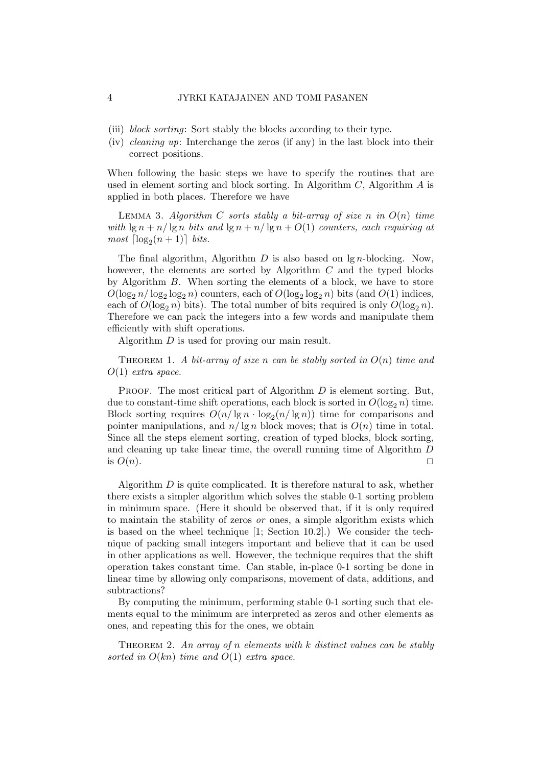- (iii) block sorting: Sort stably the blocks according to their type.
- (iv) cleaning up: Interchange the zeros (if any) in the last block into their correct positions.

When following the basic steps we have to specify the routines that are used in element sorting and block sorting. In Algorithm  $C$ , Algorithm  $A$  is applied in both places. Therefore we have

LEMMA 3. Algorithm C sorts stably a bit-array of size n in  $O(n)$  time with  $\lg n + n/\lg n$  bits and  $\lg n + n/\lg n + O(1)$  counters, each requiring at  $most \left\lceil \log_2(n + 1) \right\rceil \ bits.$ 

The final algorithm, Algorithm  $D$  is also based on lg *n*-blocking. Now, however, the elements are sorted by Algorithm  $C$  and the typed blocks by Algorithm B. When sorting the elements of a block, we have to store  $O(\log_2 n / \log_2 \log_2 n)$  counters, each of  $O(\log_2 \log_2 n)$  bits (and  $O(1)$  indices, each of  $O(\log_2 n)$  bits). The total number of bits required is only  $O(\log_2 n)$ . Therefore we can pack the integers into a few words and manipulate them efficiently with shift operations.

Algorithm D is used for proving our main result.

THEOREM 1. A bit-array of size n can be stably sorted in  $O(n)$  time and  $O(1)$  extra space.

**PROOF.** The most critical part of Algorithm  $D$  is element sorting. But, due to constant-time shift operations, each block is sorted in  $O(\log_2 n)$  time. Block sorting requires  $O(n/\lg n \cdot \log_2(n/\lg n))$  time for comparisons and pointer manipulations, and  $n/\lg n$  block moves; that is  $O(n)$  time in total. Since all the steps element sorting, creation of typed blocks, block sorting, and cleaning up take linear time, the overall running time of Algorithm D is  $O(n)$ .

Algorithm  $D$  is quite complicated. It is therefore natural to ask, whether there exists a simpler algorithm which solves the stable 0-1 sorting problem in minimum space. (Here it should be observed that, if it is only required to maintain the stability of zeros or ones, a simple algorithm exists which is based on the wheel technique [1; Section 10.2].) We consider the technique of packing small integers important and believe that it can be used in other applications as well. However, the technique requires that the shift operation takes constant time. Can stable, in-place 0-1 sorting be done in linear time by allowing only comparisons, movement of data, additions, and subtractions?

By computing the minimum, performing stable 0-1 sorting such that elements equal to the minimum are interpreted as zeros and other elements as ones, and repeating this for the ones, we obtain

THEOREM 2. An array of n elements with  $k$  distinct values can be stably sorted in  $O(kn)$  time and  $O(1)$  extra space.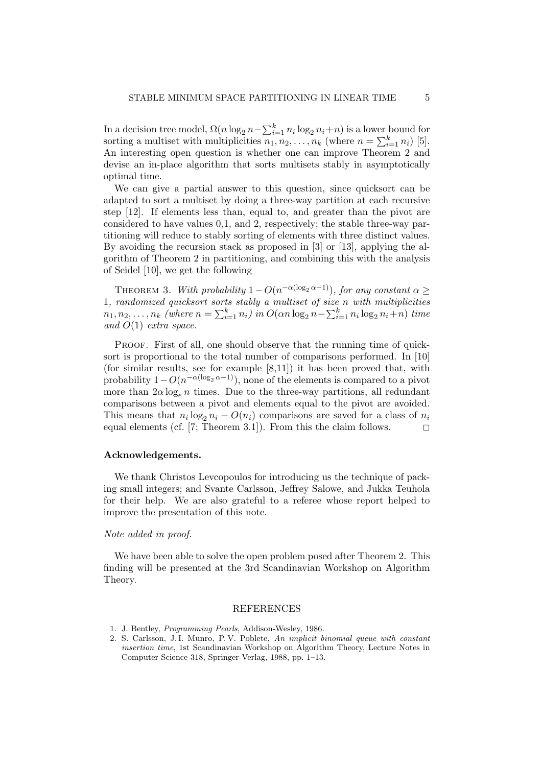In a decision tree model,  $\Omega(n \log_2 n - \sum_{i=1}^k n_i \log_2 n_i + n)$  is a lower bound for sorting a multiset with multiplicities  $\overline{n_1}, \overline{n_2}, \ldots, \overline{n_k}$  (where  $n = \sum_{i=1}^k n_i$ ) [5]. An interesting open question is whether one can improve Theorem 2 and devise an in-place algorithm that sorts multisets stably in asymptotically optimal time.

We can give a partial answer to this question, since quicksort can be adapted to sort a multiset by doing a three-way partition at each recursive step [12]. If elements less than, equal to, and greater than the pivot are considered to have values 0,1, and 2, respectively; the stable three-way partitioning will reduce to stably sorting of elements with three distinct values. By avoiding the recursion stack as proposed in [3] or [13], applying the algorithm of Theorem 2 in partitioning, and combining this with the analysis of Seidel [10], we get the following

THEOREM 3. With probability  $1-O(n^{-\alpha(\log_2 \alpha-1)})$ , for any constant  $\alpha \geq$ 1, randomized quicksort sorts stably a multiset of size n with multiplicities  $n_1, n_2, \ldots, n_k$  (where  $n = \sum_{i=1}^k n_i$ ) in  $O(\alpha n \log_2 n - \sum_{i=1}^k n_i \log_2 n_i + n)$  time and  $O(1)$  extra space.

PROOF. First of all, one should observe that the running time of quicksort is proportional to the total number of comparisons performed. In [10] (for similar results, see for example [8,11]) it has been proved that, with probability  $1-O(n^{-\alpha(\log_2 \alpha-1)})$ , none of the elements is compared to a pivot more than  $2\alpha \log_e n$  times. Due to the three-way partitions, all redundant comparisons between a pivot and elements equal to the pivot are avoided. This means that  $n_i \log_2 n_i - O(n_i)$  comparisons are saved for a class of  $n_i$ equal elements (cf. [7; Theorem 3.1]). From this the claim follows.  $\Box$ 

## Acknowledgements.

We thank Christos Levcopoulos for introducing us the technique of packing small integers; and Svante Carlsson, Jeffrey Salowe, and Jukka Teuhola for their help. We are also grateful to a referee whose report helped to improve the presentation of this note.

## Note added in proof.

We have been able to solve the open problem posed after Theorem 2. This finding will be presented at the 3rd Scandinavian Workshop on Algorithm Theory.

#### REFERENCES

- 1. J. Bentley, Programming Pearls, Addison-Wesley, 1986.
- 2. S. Carlsson, J. I. Munro, P. V. Poblete, An implicit binomial queue with constant insertion time, 1st Scandinavian Workshop on Algorithm Theory, Lecture Notes in Computer Science 318, Springer-Verlag, 1988, pp. 1–13.